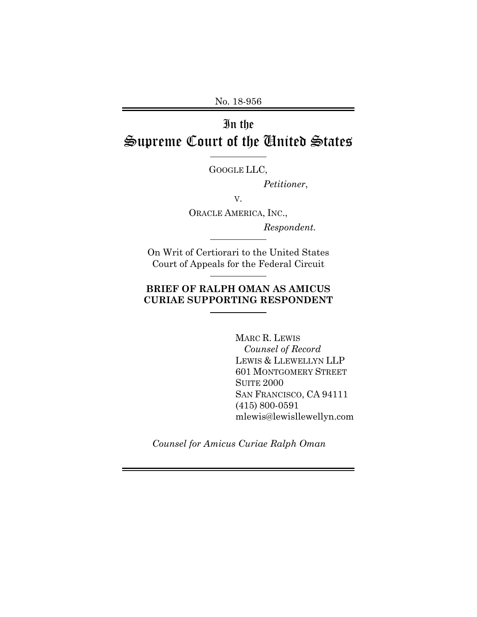No. 18-956

# In the Supreme Court of the United States

GOOGLE LLC,

*Petitioner*,

V.

ORACLE AMERICA, INC.,

*Respondent.* 

On Writ of Certiorari to the United States Court of Appeals for the Federal Circuit

## **BRIEF OF RALPH OMAN AS AMICUS CURIAE SUPPORTING RESPONDENT**

 MARC R. LEWIS *Counsel of Record*  LEWIS & LLEWELLYN LLP 601 MONTGOMERY STREET SUITE 2000 SAN FRANCISCO, CA 94111 (415) 800-0591 mlewis@lewisllewellyn.com

*Counsel for Amicus Curiae Ralph Oman*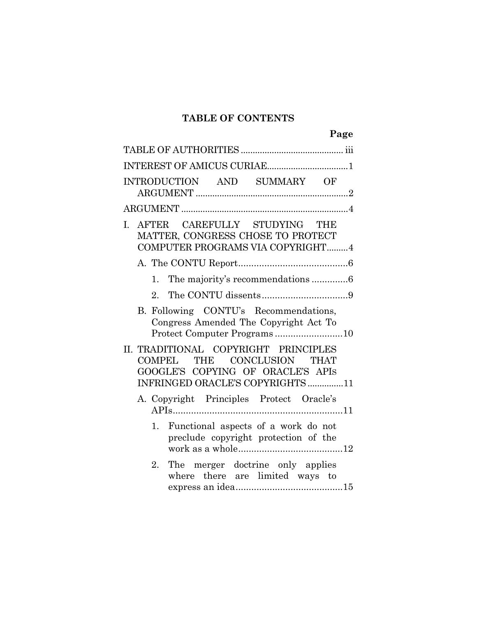# **TABLE OF CONTENTS**

|    |    |  |                                                                                                                                             | Page |
|----|----|--|---------------------------------------------------------------------------------------------------------------------------------------------|------|
|    |    |  |                                                                                                                                             |      |
|    |    |  |                                                                                                                                             |      |
|    |    |  | INTRODUCTION AND SUMMARY OF                                                                                                                 |      |
|    |    |  |                                                                                                                                             |      |
| I. |    |  | AFTER CAREFULLY STUDYING THE<br>MATTER, CONGRESS CHOSE TO PROTECT<br>COMPUTER PROGRAMS VIA COPYRIGHT4                                       |      |
|    |    |  |                                                                                                                                             |      |
|    |    |  | 1. The majority's recommendations 6                                                                                                         |      |
|    | 2. |  |                                                                                                                                             |      |
|    |    |  | B. Following CONTU's Recommendations,<br>Congress Amended The Copyright Act To<br>Protect Computer Programs10                               |      |
|    |    |  | II. TRADITIONAL COPYRIGHT PRINCIPLES<br>COMPEL THE CONCLUSION THAT<br>GOOGLE'S COPYING OF ORACLE'S APIS<br>INFRINGED ORACLE'S COPYRIGHTS 11 |      |
|    |    |  | A. Copyright Principles Protect Oracle's                                                                                                    |      |
|    | 1. |  | Functional aspects of a work do not<br>preclude copyright protection of the                                                                 |      |
|    | 2. |  | The merger doctrine only applies<br>where there are limited ways to                                                                         |      |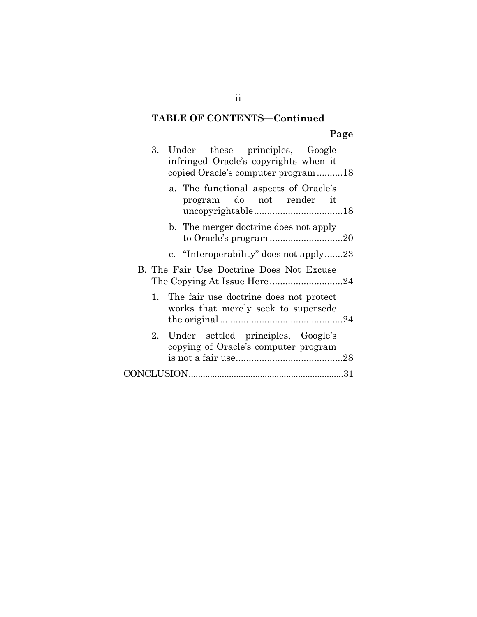# **TABLE OF CONTENTS—Continued**

# **Page**

|  | 3. Under these principles, Google<br>infringed Oracle's copyrights when it<br>copied Oracle's computer program18 |  |
|--|------------------------------------------------------------------------------------------------------------------|--|
|  | a. The functional aspects of Oracle's<br>program do not render it                                                |  |
|  | b. The merger doctrine does not apply<br>to Oracle's program 20                                                  |  |
|  | c. "Interoperability" does not apply23                                                                           |  |
|  | B. The Fair Use Doctrine Does Not Excuse                                                                         |  |
|  | 1. The fair use doctrine does not protect<br>works that merely seek to supersede                                 |  |
|  | 2. Under settled principles, Google's<br>copying of Oracle's computer program                                    |  |
|  |                                                                                                                  |  |
|  |                                                                                                                  |  |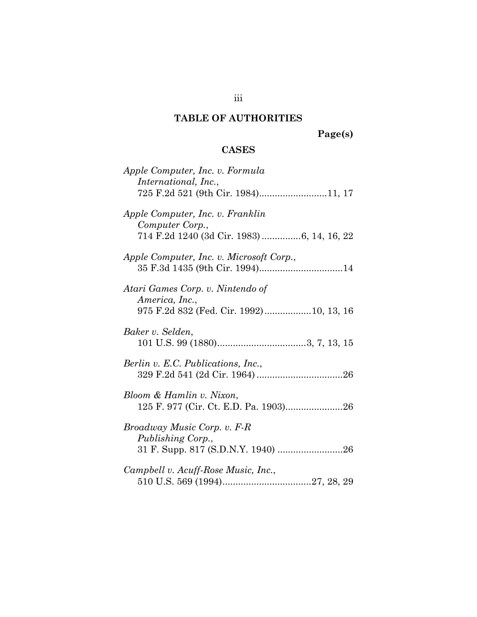# **TABLE OF AUTHORITIES**

**Page(s)** 

# **CASES**

| Apple Computer, Inc. v. Formula<br>International, Inc.,                                           |
|---------------------------------------------------------------------------------------------------|
| 725 F.2d 521 (9th Cir. 1984)11, 17                                                                |
| Apple Computer, Inc. v. Franklin<br>Computer Corp.,<br>714 F.2d 1240 (3d Cir. 1983) 6, 14, 16, 22 |
| Apple Computer, Inc. v. Microsoft Corp.,                                                          |
| Atari Games Corp. v. Nintendo of<br>America, Inc.,<br>975 F.2d 832 (Fed. Cir. 1992)10, 13, 16     |
| Baker v. Selden,                                                                                  |
| Berlin v. E.C. Publications, Inc.,                                                                |
| Bloom & Hamlin v. Nixon,                                                                          |
| Broadway Music Corp. v. F-R<br>Publishing Corp.,<br>31 F. Supp. 817 (S.D.N.Y. 1940) 26            |
| Campbell v. Acuff-Rose Music, Inc.,                                                               |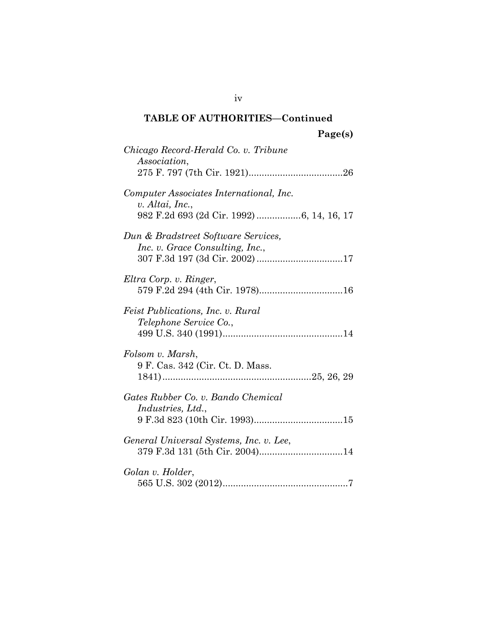| Chicago Record-Herald Co. v. Tribune<br>Association,                                                    |
|---------------------------------------------------------------------------------------------------------|
| Computer Associates International, Inc.<br>v. Altai, Inc.,<br>982 F.2d 693 (2d Cir. 1992) 6, 14, 16, 17 |
| Dun & Bradstreet Software Services,<br>Inc. v. Grace Consulting, Inc.,                                  |
| Eltra Corp. v. Ringer,                                                                                  |
| Feist Publications, Inc. v. Rural<br>Telephone Service Co.,                                             |
| Folsom v. Marsh,<br>9 F. Cas. 342 (Cir. Ct. D. Mass.                                                    |
| Gates Rubber Co. v. Bando Chemical<br><i>Industries, Ltd.,</i>                                          |
| General Universal Systems, Inc. v. Lee,<br>379 F.3d 131 (5th Cir. 2004)14                               |
| Golan v. Holder,                                                                                        |

iv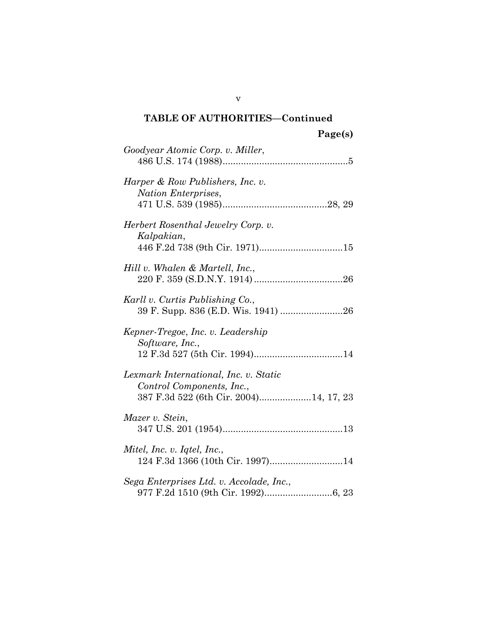| Goodyear Atomic Corp. v. Miller,                                                                             |
|--------------------------------------------------------------------------------------------------------------|
| Harper & Row Publishers, Inc. v.<br>Nation Enterprises,                                                      |
| Herbert Rosenthal Jewelry Corp. v.<br>Kalpakian,                                                             |
| Hill v. Whalen & Martell, Inc.,                                                                              |
| Karll v. Curtis Publishing Co.,<br>39 F. Supp. 836 (E.D. Wis. 1941) 26                                       |
| Kepner-Tregoe, Inc. v. Leadership<br>Software, Inc.,                                                         |
| Lexmark International, Inc. v. Static<br>Control Components, Inc.,<br>387 F.3d 522 (6th Cir. 2004)14, 17, 23 |
| Mazer v. Stein,                                                                                              |
| Mitel, Inc. v. Iqtel, Inc.,<br>124 F.3d 1366 (10th Cir. 1997)14                                              |
| Sega Enterprises Ltd. v. Accolade, Inc.,                                                                     |

v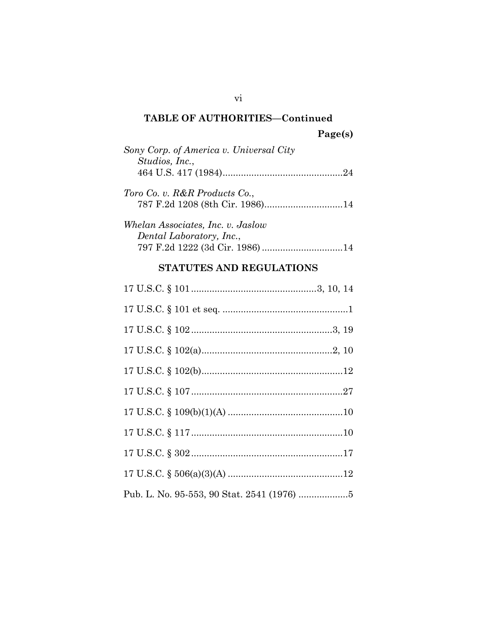| Sony Corp. of America v. Universal City |
|-----------------------------------------|
| Studios, Inc.,                          |
|                                         |
| Toro Co. v. R&R Products Co.,           |
| 787 F.2d 1208 (8th Cir. 1986)14         |
| Whelan Associates, Inc. v. Jaslow       |
| Dental Laboratory, Inc.,                |

# **STATUTES AND REGULATIONS**

797 F.2d 1222 (3d Cir. 1986) ............................... 14

vi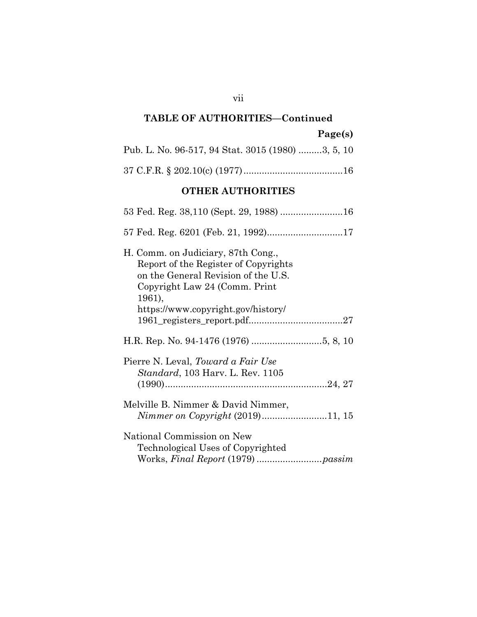# **Page(s)**

| Pub. L. No. 96-517, 94 Stat. 3015 (1980) 3, 5, 10 |  |
|---------------------------------------------------|--|
|                                                   |  |

# **OTHER AUTHORITIES**

| H. Comm. on Judiciary, 87th Cong.,<br>Report of the Register of Copyrights<br>on the General Revision of the U.S.<br>Copyright Law 24 (Comm. Print<br>1961), |
|--------------------------------------------------------------------------------------------------------------------------------------------------------------|
| https://www.copyright.gov/history/                                                                                                                           |
|                                                                                                                                                              |
| Pierre N. Leval, <i>Toward a Fair Use</i><br><i>Standard</i> , 103 Harv. L. Rev. 1105                                                                        |
| Melville B. Nimmer & David Nimmer,<br>Nimmer on Copyright (2019)11, 15                                                                                       |
| National Commission on New<br>Technological Uses of Copyrighted                                                                                              |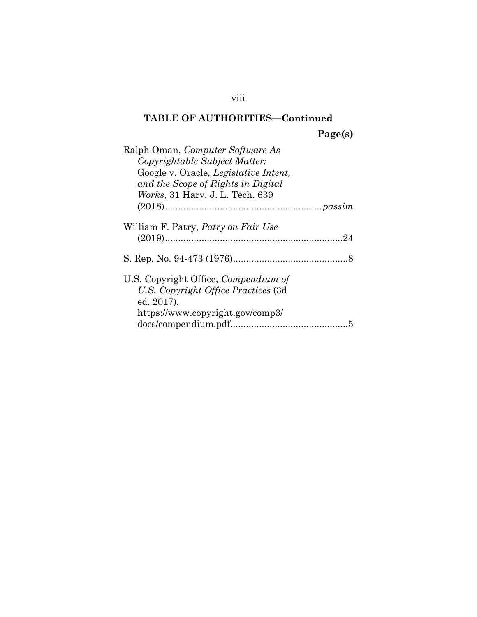**Page(s)** 

| Ralph Oman, Computer Software As            |
|---------------------------------------------|
| Copyrightable Subject Matter:               |
| Google v. Oracle, Legislative Intent,       |
| and the Scope of Rights in Digital          |
| <i>Works</i> , 31 Harv. J. L. Tech. 639     |
|                                             |
| William F. Patry, <i>Patry on Fair Use</i>  |
|                                             |
|                                             |
| U.S. Copyright Office, <i>Compendium of</i> |
| U.S. Copyright Office Practices (3d)        |
| ed. 2017),                                  |
| https://www.copyright.gov/comp3/            |
| 5                                           |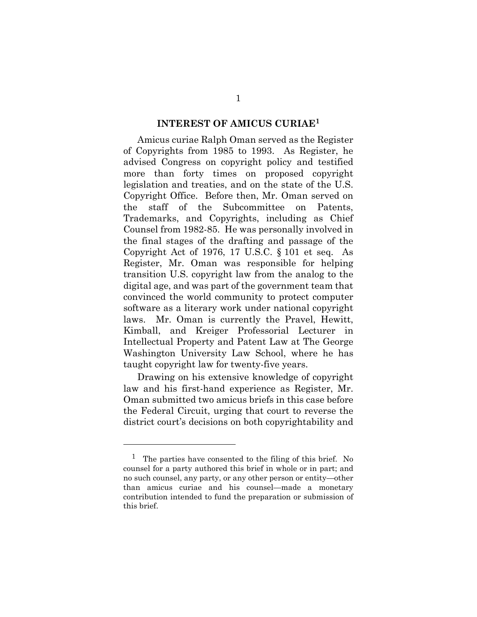#### **INTEREST OF AMICUS CURIAE<sup>1</sup>**

Amicus curiae Ralph Oman served as the Register of Copyrights from 1985 to 1993. As Register, he advised Congress on copyright policy and testified more than forty times on proposed copyright legislation and treaties, and on the state of the U.S. Copyright Office. Before then, Mr. Oman served on the staff of the Subcommittee on Patents, Trademarks, and Copyrights, including as Chief Counsel from 1982-85. He was personally involved in the final stages of the drafting and passage of the Copyright Act of 1976, 17 U.S.C. § 101 et seq. As Register, Mr. Oman was responsible for helping transition U.S. copyright law from the analog to the digital age, and was part of the government team that convinced the world community to protect computer software as a literary work under national copyright laws. Mr. Oman is currently the Pravel, Hewitt, Kimball, and Kreiger Professorial Lecturer in Intellectual Property and Patent Law at The George Washington University Law School, where he has taught copyright law for twenty-five years.

Drawing on his extensive knowledge of copyright law and his first-hand experience as Register, Mr. Oman submitted two amicus briefs in this case before the Federal Circuit, urging that court to reverse the district court's decisions on both copyrightability and

l

<sup>&</sup>lt;sup>1</sup> The parties have consented to the filing of this brief. No counsel for a party authored this brief in whole or in part; and no such counsel, any party, or any other person or entity—other than amicus curiae and his counsel—made a monetary contribution intended to fund the preparation or submission of this brief.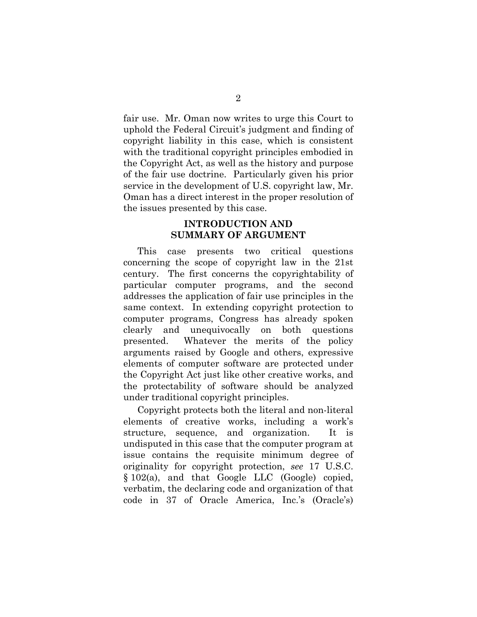fair use. Mr. Oman now writes to urge this Court to uphold the Federal Circuit's judgment and finding of copyright liability in this case, which is consistent with the traditional copyright principles embodied in the Copyright Act, as well as the history and purpose of the fair use doctrine. Particularly given his prior service in the development of U.S. copyright law, Mr. Oman has a direct interest in the proper resolution of the issues presented by this case.

## **INTRODUCTION AND SUMMARY OF ARGUMENT**

This case presents two critical questions concerning the scope of copyright law in the 21st century. The first concerns the copyrightability of particular computer programs, and the second addresses the application of fair use principles in the same context. In extending copyright protection to computer programs, Congress has already spoken clearly and unequivocally on both questions presented. Whatever the merits of the policy arguments raised by Google and others, expressive elements of computer software are protected under the Copyright Act just like other creative works, and the protectability of software should be analyzed under traditional copyright principles.

Copyright protects both the literal and non-literal elements of creative works, including a work's structure, sequence, and organization. It is undisputed in this case that the computer program at issue contains the requisite minimum degree of originality for copyright protection, *see* 17 U.S.C. § 102(a), and that Google LLC (Google) copied, verbatim, the declaring code and organization of that code in 37 of Oracle America, Inc.'s (Oracle's)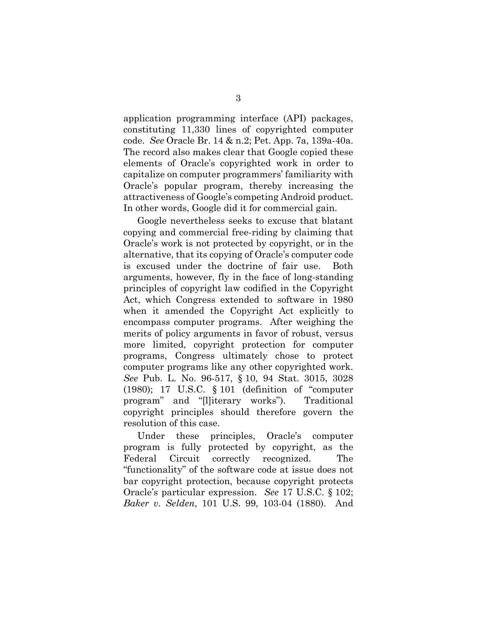application programming interface (API) packages, constituting 11,330 lines of copyrighted computer code. *See* Oracle Br. 14 & n.2; Pet. App. 7a, 139a-40a. The record also makes clear that Google copied these elements of Oracle's copyrighted work in order to capitalize on computer programmers' familiarity with Oracle's popular program, thereby increasing the attractiveness of Google's competing Android product. In other words, Google did it for commercial gain.

Google nevertheless seeks to excuse that blatant copying and commercial free-riding by claiming that Oracle's work is not protected by copyright, or in the alternative, that its copying of Oracle's computer code is excused under the doctrine of fair use. Both arguments, however, fly in the face of long-standing principles of copyright law codified in the Copyright Act, which Congress extended to software in 1980 when it amended the Copyright Act explicitly to encompass computer programs. After weighing the merits of policy arguments in favor of robust, versus more limited, copyright protection for computer programs, Congress ultimately chose to protect computer programs like any other copyrighted work. *See* Pub. L. No. 96-517, § 10, 94 Stat. 3015, 3028 (1980); 17 U.S.C. § 101 (definition of "computer program" and "[l]iterary works"). Traditional copyright principles should therefore govern the resolution of this case.

Under these principles, Oracle's computer program is fully protected by copyright, as the Federal Circuit correctly recognized. The "functionality" of the software code at issue does not bar copyright protection, because copyright protects Oracle's particular expression. *See* 17 U.S.C. § 102; *Baker v. Selden*, 101 U.S. 99, 103-04 (1880). And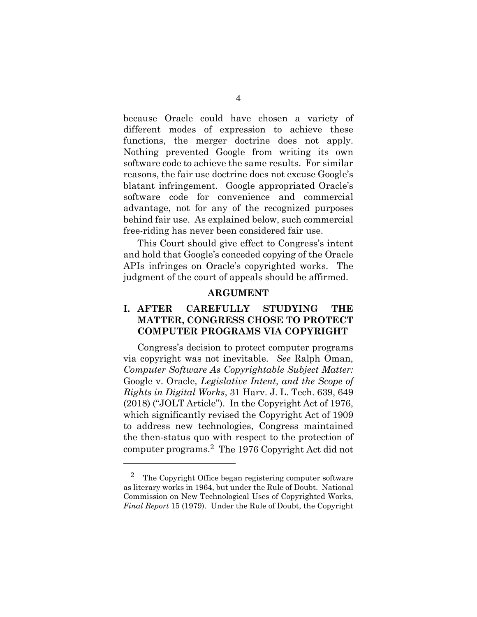because Oracle could have chosen a variety of different modes of expression to achieve these functions, the merger doctrine does not apply. Nothing prevented Google from writing its own software code to achieve the same results. For similar reasons, the fair use doctrine does not excuse Google's blatant infringement. Google appropriated Oracle's software code for convenience and commercial advantage, not for any of the recognized purposes behind fair use. As explained below, such commercial free-riding has never been considered fair use.

This Court should give effect to Congress's intent and hold that Google's conceded copying of the Oracle APIs infringes on Oracle's copyrighted works. The judgment of the court of appeals should be affirmed.

#### **ARGUMENT**

# **I. AFTER CAREFULLY STUDYING THE MATTER, CONGRESS CHOSE TO PROTECT COMPUTER PROGRAMS VIA COPYRIGHT**

Congress's decision to protect computer programs via copyright was not inevitable. *See* Ralph Oman, *Computer Software As Copyrightable Subject Matter:*  Google v. Oracle*, Legislative Intent, and the Scope of Rights in Digital Works*, 31 Harv. J. L. Tech. 639, 649 (2018) ("JOLT Article"). In the Copyright Act of 1976, which significantly revised the Copyright Act of 1909 to address new technologies, Congress maintained the then-status quo with respect to the protection of computer programs.2 The 1976 Copyright Act did not

l

<sup>2</sup> The Copyright Office began registering computer software as literary works in 1964, but under the Rule of Doubt. National Commission on New Technological Uses of Copyrighted Works, *Final Report* 15 (1979). Under the Rule of Doubt, the Copyright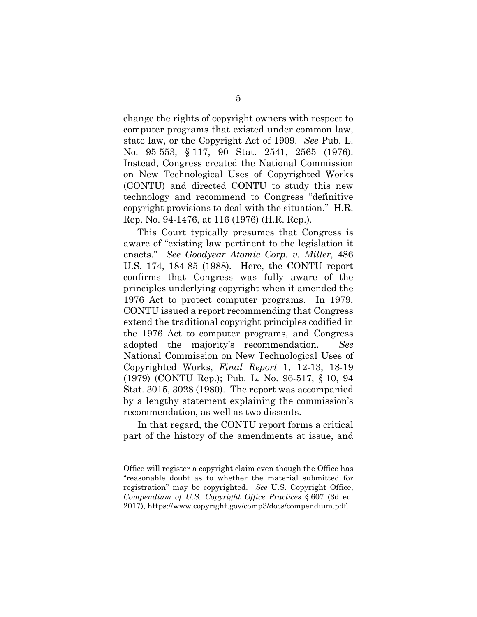change the rights of copyright owners with respect to computer programs that existed under common law, state law, or the Copyright Act of 1909. *See* Pub. L. No. 95-553, § 117, 90 Stat. 2541, 2565 (1976). Instead, Congress created the National Commission on New Technological Uses of Copyrighted Works (CONTU) and directed CONTU to study this new technology and recommend to Congress "definitive copyright provisions to deal with the situation." H.R. Rep. No. 94-1476, at 116 (1976) (H.R. Rep.).

This Court typically presumes that Congress is aware of "existing law pertinent to the legislation it enacts." *See Goodyear Atomic Corp. v. Miller,* 486 U.S. 174, 184-85 (1988)*.* Here, the CONTU report confirms that Congress was fully aware of the principles underlying copyright when it amended the 1976 Act to protect computer programs. In 1979, CONTU issued a report recommending that Congress extend the traditional copyright principles codified in the 1976 Act to computer programs, and Congress adopted the majority's recommendation. *See*  National Commission on New Technological Uses of Copyrighted Works, *Final Report* 1, 12-13, 18-19 (1979) (CONTU Rep.); Pub. L. No. 96-517, § 10, 94 Stat. 3015, 3028 (1980). The report was accompanied by a lengthy statement explaining the commission's recommendation, as well as two dissents.

In that regard, the CONTU report forms a critical part of the history of the amendments at issue, and

l

Office will register a copyright claim even though the Office has "reasonable doubt as to whether the material submitted for registration" may be copyrighted. *See* U.S. Copyright Office, *Compendium of U.S. Copyright Office Practices* § 607 (3d ed. 2017), https://www.copyright.gov/comp3/docs/compendium.pdf.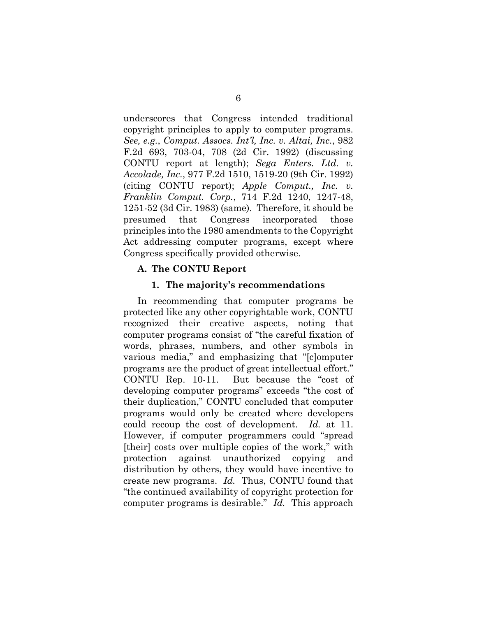underscores that Congress intended traditional copyright principles to apply to computer programs. *See, e.g.*, *Comput. Assocs. Int'l, Inc. v. Altai, Inc.*, 982 F.2d 693, 703-04, 708 (2d Cir. 1992) (discussing CONTU report at length); *Sega Enters. Ltd. v. Accolade, Inc.*, 977 F.2d 1510, 1519-20 (9th Cir. 1992) (citing CONTU report); *Apple Comput., Inc. v. Franklin Comput. Corp.*, 714 F.2d 1240, 1247-48, 1251-52 (3d Cir. 1983) (same). Therefore, it should be presumed that Congress incorporated those principles into the 1980 amendments to the Copyright Act addressing computer programs, except where Congress specifically provided otherwise.

#### **A. The CONTU Report**

#### **1. The majority's recommendations**

In recommending that computer programs be protected like any other copyrightable work, CONTU recognized their creative aspects, noting that computer programs consist of "the careful fixation of words, phrases, numbers, and other symbols in various media," and emphasizing that "[c]omputer programs are the product of great intellectual effort." CONTU Rep. 10-11. But because the "cost of developing computer programs" exceeds "the cost of their duplication," CONTU concluded that computer programs would only be created where developers could recoup the cost of development. *Id.* at 11. However, if computer programmers could "spread [their] costs over multiple copies of the work," with protection against unauthorized copying and distribution by others, they would have incentive to create new programs. *Id.* Thus, CONTU found that "the continued availability of copyright protection for computer programs is desirable." *Id.* This approach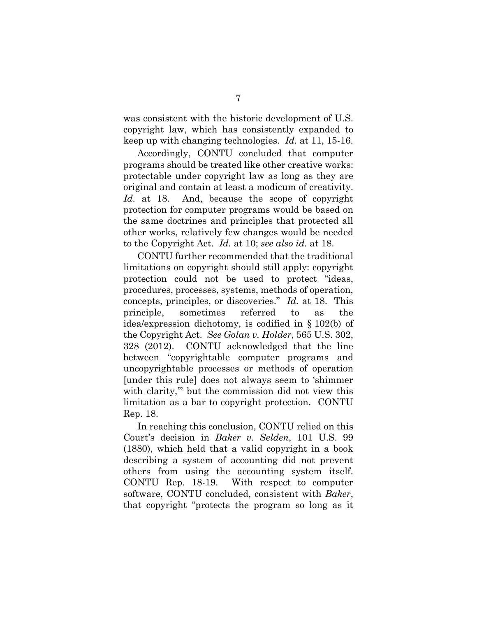was consistent with the historic development of U.S. copyright law, which has consistently expanded to keep up with changing technologies. *Id.* at 11, 15-16.

Accordingly, CONTU concluded that computer programs should be treated like other creative works: protectable under copyright law as long as they are original and contain at least a modicum of creativity. *Id.* at 18. And, because the scope of copyright protection for computer programs would be based on the same doctrines and principles that protected all other works, relatively few changes would be needed to the Copyright Act. *Id.* at 10; *see also id.* at 18.

CONTU further recommended that the traditional limitations on copyright should still apply: copyright protection could not be used to protect "ideas, procedures, processes, systems, methods of operation, concepts, principles, or discoveries." *Id.* at 18. This principle, sometimes referred to as the idea/expression dichotomy, is codified in § 102(b) of the Copyright Act. *See Golan v. Holder*, 565 U.S. 302, 328 (2012). CONTU acknowledged that the line between "copyrightable computer programs and uncopyrightable processes or methods of operation [under this rule] does not always seem to 'shimmer with clarity," but the commission did not view this limitation as a bar to copyright protection. CONTU Rep. 18.

In reaching this conclusion, CONTU relied on this Court's decision in *Baker v. Selden*, 101 U.S. 99 (1880), which held that a valid copyright in a book describing a system of accounting did not prevent others from using the accounting system itself. CONTU Rep. 18-19. With respect to computer software, CONTU concluded, consistent with *Baker*, that copyright "protects the program so long as it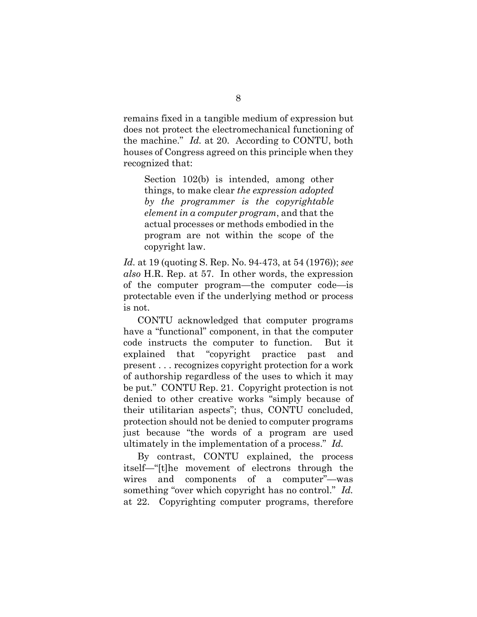remains fixed in a tangible medium of expression but does not protect the electromechanical functioning of the machine." *Id.* at 20. According to CONTU, both houses of Congress agreed on this principle when they recognized that:

Section 102(b) is intended, among other things, to make clear *the expression adopted by the programmer is the copyrightable element in a computer program*, and that the actual processes or methods embodied in the program are not within the scope of the copyright law.

*Id.* at 19 (quoting S. Rep. No. 94-473, at 54 (1976)); *see also* H.R. Rep. at 57. In other words, the expression of the computer program—the computer code—is protectable even if the underlying method or process is not.

CONTU acknowledged that computer programs have a "functional" component, in that the computer code instructs the computer to function. But it explained that "copyright practice past and present . . . recognizes copyright protection for a work of authorship regardless of the uses to which it may be put." CONTU Rep. 21. Copyright protection is not denied to other creative works "simply because of their utilitarian aspects"; thus, CONTU concluded, protection should not be denied to computer programs just because "the words of a program are used ultimately in the implementation of a process." *Id.*

By contrast, CONTU explained, the process itself—"[t]he movement of electrons through the wires and components of a computer"—was something "over which copyright has no control." *Id.* at 22. Copyrighting computer programs, therefore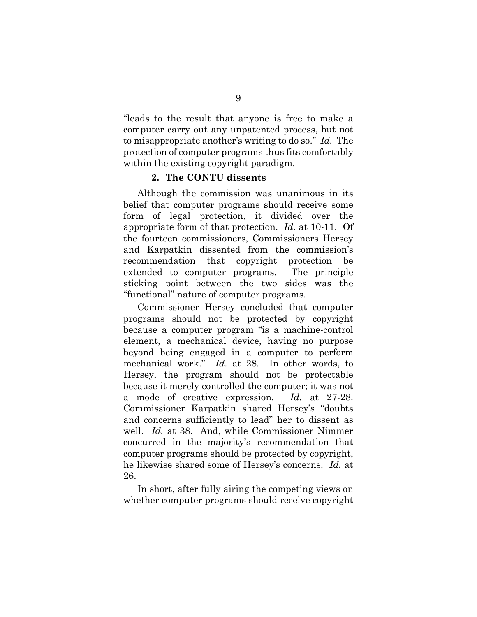"leads to the result that anyone is free to make a computer carry out any unpatented process, but not to misappropriate another's writing to do so." *Id.* The protection of computer programs thus fits comfortably within the existing copyright paradigm.

#### **2. The CONTU dissents**

Although the commission was unanimous in its belief that computer programs should receive some form of legal protection, it divided over the appropriate form of that protection. *Id.* at 10-11. Of the fourteen commissioners, Commissioners Hersey and Karpatkin dissented from the commission's recommendation that copyright protection be extended to computer programs. The principle sticking point between the two sides was the "functional" nature of computer programs.

Commissioner Hersey concluded that computer programs should not be protected by copyright because a computer program "is a machine-control element, a mechanical device, having no purpose beyond being engaged in a computer to perform mechanical work." *Id*. at 28. In other words, to Hersey, the program should not be protectable because it merely controlled the computer; it was not a mode of creative expression. *Id.* at 27-28. Commissioner Karpatkin shared Hersey's "doubts and concerns sufficiently to lead" her to dissent as well. *Id.* at 38. And, while Commissioner Nimmer concurred in the majority's recommendation that computer programs should be protected by copyright, he likewise shared some of Hersey's concerns. *Id.* at 26.

In short, after fully airing the competing views on whether computer programs should receive copyright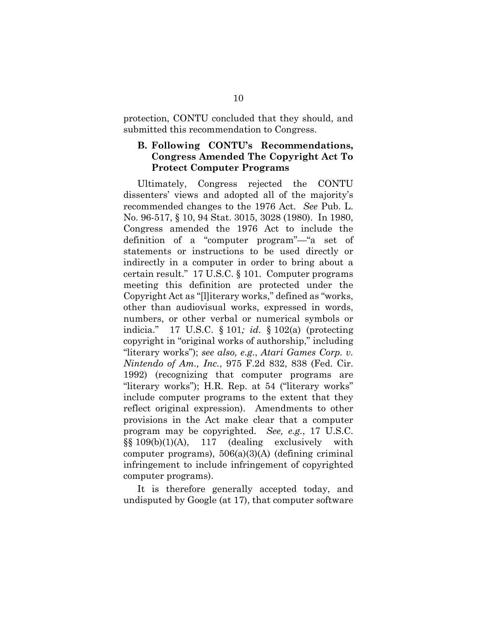protection, CONTU concluded that they should, and submitted this recommendation to Congress.

## **B. Following CONTU's Recommendations, Congress Amended The Copyright Act To Protect Computer Programs**

Ultimately, Congress rejected the CONTU dissenters' views and adopted all of the majority's recommended changes to the 1976 Act. *See* Pub. L. No. 96-517, § 10, 94 Stat. 3015, 3028 (1980). In 1980, Congress amended the 1976 Act to include the definition of a "computer program"—"a set of statements or instructions to be used directly or indirectly in a computer in order to bring about a certain result." 17 U.S.C. § 101. Computer programs meeting this definition are protected under the Copyright Act as "[l]iterary works," defined as "works, other than audiovisual works, expressed in words, numbers, or other verbal or numerical symbols or indicia." 17 U.S.C. § 101*; id.* § 102(a) (protecting copyright in "original works of authorship," including "literary works"); *see also, e.g.*, *Atari Games Corp. v. Nintendo of Am., Inc.*, 975 F.2d 832, 838 (Fed. Cir. 1992) (recognizing that computer programs are "literary works"); H.R. Rep. at 54 ("literary works" include computer programs to the extent that they reflect original expression). Amendments to other provisions in the Act make clear that a computer program may be copyrighted. *See, e.g.*, 17 U.S.C.  $\S(3 \ 109(b)(1)(A), 117$  (dealing exclusively with computer programs),  $506(a)(3)(A)$  (defining criminal infringement to include infringement of copyrighted computer programs).

It is therefore generally accepted today, and undisputed by Google (at 17), that computer software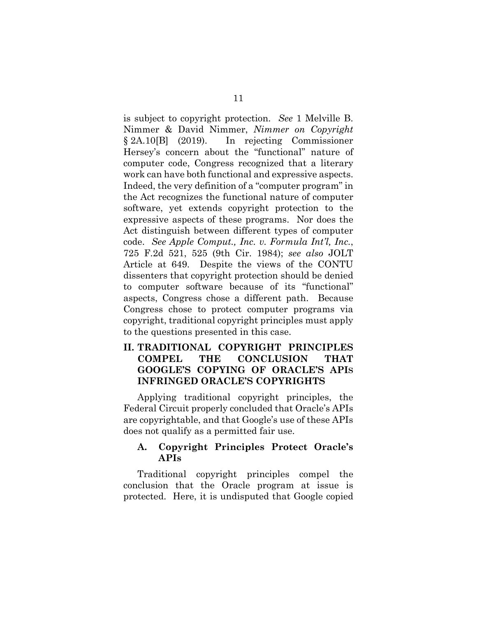is subject to copyright protection. *See* 1 Melville B. Nimmer & David Nimmer, *Nimmer on Copyright* § 2A.10[B] (2019). In rejecting Commissioner Hersey's concern about the "functional" nature of computer code, Congress recognized that a literary work can have both functional and expressive aspects. Indeed, the very definition of a "computer program" in the Act recognizes the functional nature of computer software, yet extends copyright protection to the expressive aspects of these programs. Nor does the Act distinguish between different types of computer code. *See Apple Comput., Inc. v. Formula Int'l, Inc.*, 725 F.2d 521, 525 (9th Cir. 1984); *see also* JOLT Article at 649. Despite the views of the CONTU dissenters that copyright protection should be denied to computer software because of its "functional" aspects, Congress chose a different path. Because Congress chose to protect computer programs via copyright, traditional copyright principles must apply to the questions presented in this case.

# **II. TRADITIONAL COPYRIGHT PRINCIPLES COMPEL THE CONCLUSION THAT GOOGLE'S COPYING OF ORACLE'S APIS INFRINGED ORACLE'S COPYRIGHTS**

Applying traditional copyright principles, the Federal Circuit properly concluded that Oracle's APIs are copyrightable, and that Google's use of these APIs does not qualify as a permitted fair use.

## **A. Copyright Principles Protect Oracle's APIs**

Traditional copyright principles compel the conclusion that the Oracle program at issue is protected. Here, it is undisputed that Google copied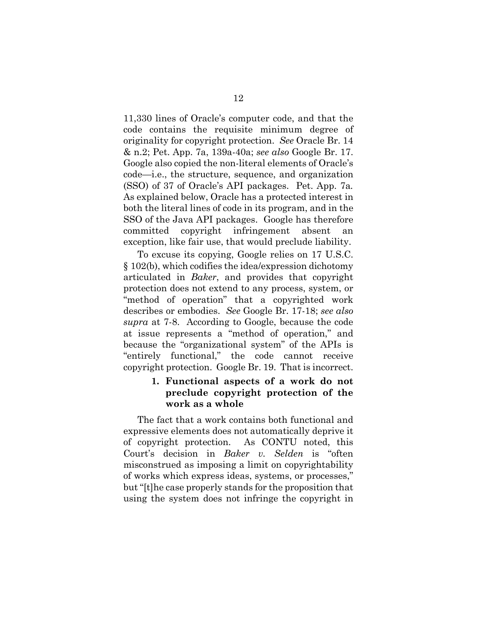11,330 lines of Oracle's computer code, and that the code contains the requisite minimum degree of originality for copyright protection. *See* Oracle Br. 14 & n.2; Pet. App. 7a, 139a-40a; *see also* Google Br. 17. Google also copied the non-literal elements of Oracle's code—i.e., the structure, sequence, and organization (SSO) of 37 of Oracle's API packages. Pet. App. 7a*.*  As explained below, Oracle has a protected interest in both the literal lines of code in its program, and in the SSO of the Java API packages. Google has therefore committed copyright infringement absent an exception, like fair use, that would preclude liability.

To excuse its copying, Google relies on 17 U.S.C. § 102(b), which codifies the idea/expression dichotomy articulated in *Baker*, and provides that copyright protection does not extend to any process, system, or "method of operation" that a copyrighted work describes or embodies. *See* Google Br. 17-18; *see also supra* at 7-8. According to Google, because the code at issue represents a "method of operation," and because the "organizational system" of the APIs is "entirely functional," the code cannot receive copyright protection. Google Br. 19. That is incorrect.

## **1. Functional aspects of a work do not preclude copyright protection of the work as a whole**

The fact that a work contains both functional and expressive elements does not automatically deprive it of copyright protection. As CONTU noted, this Court's decision in *Baker v. Selden* is "often misconstrued as imposing a limit on copyrightability of works which express ideas, systems, or processes," but "[t]he case properly stands for the proposition that using the system does not infringe the copyright in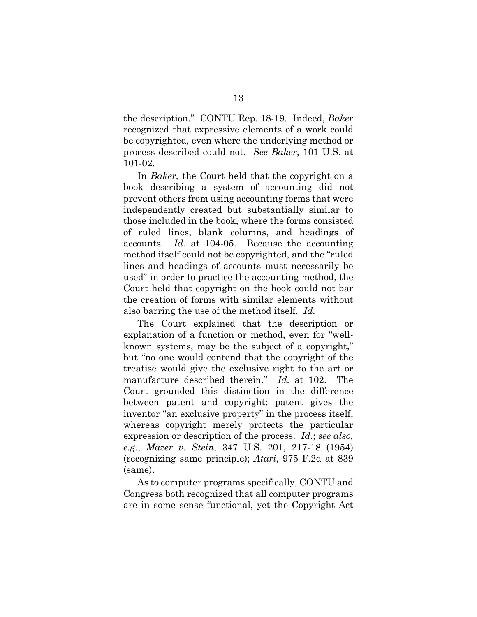the description." CONTU Rep. 18-19. Indeed, *Baker*  recognized that expressive elements of a work could be copyrighted, even where the underlying method or process described could not. *See Baker*, 101 U.S. at 101-02.

In *Baker,* the Court held that the copyright on a book describing a system of accounting did not prevent others from using accounting forms that were independently created but substantially similar to those included in the book, where the forms consisted of ruled lines, blank columns, and headings of accounts. *Id.* at 104-05. Because the accounting method itself could not be copyrighted, and the "ruled lines and headings of accounts must necessarily be used" in order to practice the accounting method, the Court held that copyright on the book could not bar the creation of forms with similar elements without also barring the use of the method itself. *Id.*

The Court explained that the description or explanation of a function or method, even for "wellknown systems, may be the subject of a copyright," but "no one would contend that the copyright of the treatise would give the exclusive right to the art or manufacture described therein." *Id.* at 102. The Court grounded this distinction in the difference between patent and copyright: patent gives the inventor "an exclusive property" in the process itself, whereas copyright merely protects the particular expression or description of the process. *Id.*; *see also, e.g.*, *Mazer v. Stein*, 347 U.S. 201, 217-18 (1954) (recognizing same principle); *Atari*, 975 F.2d at 839 (same).

As to computer programs specifically, CONTU and Congress both recognized that all computer programs are in some sense functional, yet the Copyright Act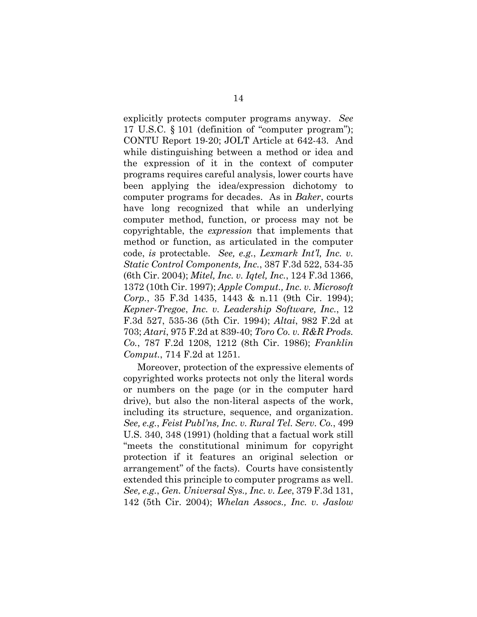explicitly protects computer programs anyway. *See*  17 U.S.C. § 101 (definition of "computer program"); CONTU Report 19-20; JOLT Article at 642-43. And while distinguishing between a method or idea and the expression of it in the context of computer programs requires careful analysis, lower courts have been applying the idea/expression dichotomy to computer programs for decades. As in *Baker*, courts have long recognized that while an underlying computer method, function, or process may not be copyrightable, the *expression* that implements that method or function, as articulated in the computer code, *is* protectable. *See, e.g.*, *Lexmark Int'l, Inc. v. Static Control Components, Inc.*, 387 F.3d 522, 534-35 (6th Cir. 2004); *Mitel, Inc. v. Iqtel, Inc.*, 124 F.3d 1366, 1372 (10th Cir. 1997); *Apple Comput., Inc. v. Microsoft Corp.*, 35 F.3d 1435, 1443 & n.11 (9th Cir. 1994); *Kepner-Tregoe*, *Inc. v. Leadership Software, Inc.*, 12 F.3d 527, 535-36 (5th Cir. 1994); *Altai*, 982 F.2d at 703; *Atari*, 975 F.2d at 839-40; *Toro Co. v. R&R Prods. Co.*, 787 F.2d 1208, 1212 (8th Cir. 1986); *Franklin Comput.*, 714 F.2d at 1251.

Moreover, protection of the expressive elements of copyrighted works protects not only the literal words or numbers on the page (or in the computer hard drive), but also the non-literal aspects of the work, including its structure, sequence, and organization. *See, e.g.*, *Feist Publ'ns, Inc. v. Rural Tel. Serv. Co.*, 499 U.S. 340, 348 (1991) (holding that a factual work still "meets the constitutional minimum for copyright protection if it features an original selection or arrangement" of the facts). Courts have consistently extended this principle to computer programs as well. *See, e.g.*, *Gen. Universal Sys., Inc. v. Lee*, 379 F.3d 131, 142 (5th Cir. 2004); *Whelan Assocs., Inc. v. Jaslow*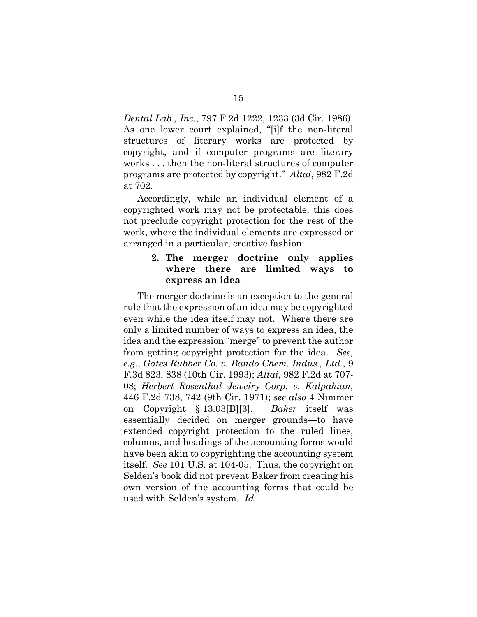*Dental Lab., Inc.*, 797 F.2d 1222, 1233 (3d Cir. 1986). As one lower court explained, "[i]f the non-literal structures of literary works are protected by copyright, and if computer programs are literary works . . . then the non-literal structures of computer programs are protected by copyright." *Altai*, 982 F.2d at 702.

Accordingly, while an individual element of a copyrighted work may not be protectable, this does not preclude copyright protection for the rest of the work, where the individual elements are expressed or arranged in a particular, creative fashion.

### **2. The merger doctrine only applies where there are limited ways to express an idea**

The merger doctrine is an exception to the general rule that the expression of an idea may be copyrighted even while the idea itself may not. Where there are only a limited number of ways to express an idea, the idea and the expression "merge" to prevent the author from getting copyright protection for the idea. *See, e.g.*, *Gates Rubber Co. v. Bando Chem. Indus., Ltd.*, 9 F.3d 823, 838 (10th Cir. 1993); *Altai*, 982 F.2d at 707- 08; *Herbert Rosenthal Jewelry Corp. v. Kalpakian*, 446 F.2d 738, 742 (9th Cir. 1971); *see also* 4 Nimmer on Copyright § 13.03[B][3]. *Baker* itself was essentially decided on merger grounds—to have extended copyright protection to the ruled lines, columns, and headings of the accounting forms would have been akin to copyrighting the accounting system itself. *See* 101 U.S. at 104-05. Thus, the copyright on Selden's book did not prevent Baker from creating his own version of the accounting forms that could be used with Selden's system. *Id.*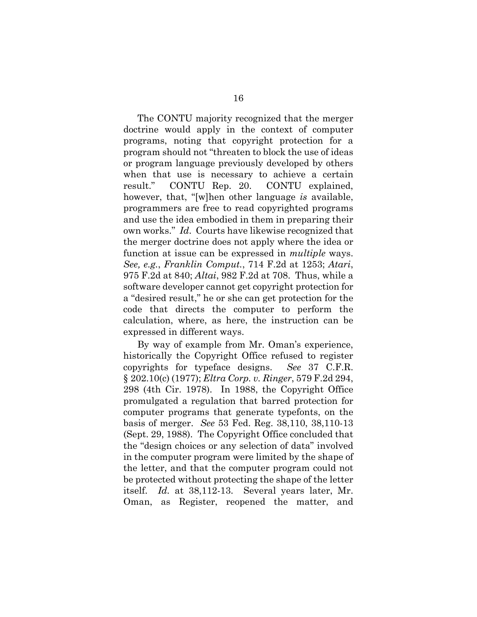The CONTU majority recognized that the merger doctrine would apply in the context of computer programs, noting that copyright protection for a program should not "threaten to block the use of ideas or program language previously developed by others when that use is necessary to achieve a certain result." CONTU Rep. 20. CONTU explained, however, that, "[w]hen other language *is* available, programmers are free to read copyrighted programs and use the idea embodied in them in preparing their own works." *Id*. Courts have likewise recognized that the merger doctrine does not apply where the idea or function at issue can be expressed in *multiple* ways. *See, e.g.*, *Franklin Comput.*, 714 F.2d at 1253; *Atari*, 975 F.2d at 840; *Altai*, 982 F.2d at 708. Thus, while a software developer cannot get copyright protection for a "desired result," he or she can get protection for the code that directs the computer to perform the calculation, where, as here, the instruction can be expressed in different ways.

By way of example from Mr. Oman's experience, historically the Copyright Office refused to register copyrights for typeface designs. *See* 37 C.F.R. § 202.10(c) (1977); *Eltra Corp. v. Ringer*, 579 F.2d 294, 298 (4th Cir. 1978). In 1988, the Copyright Office promulgated a regulation that barred protection for computer programs that generate typefonts, on the basis of merger. *See* 53 Fed. Reg. 38,110, 38,110-13 (Sept. 29, 1988). The Copyright Office concluded that the "design choices or any selection of data" involved in the computer program were limited by the shape of the letter, and that the computer program could not be protected without protecting the shape of the letter itself. *Id.* at 38,112-13. Several years later, Mr. Oman, as Register, reopened the matter, and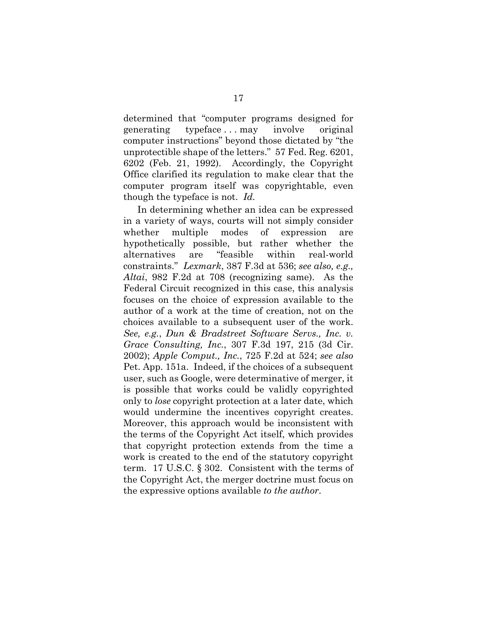determined that "computer programs designed for generating typeface . . . may involve original computer instructions" beyond those dictated by "the unprotectible shape of the letters." 57 Fed. Reg. 6201, 6202 (Feb. 21, 1992). Accordingly, the Copyright Office clarified its regulation to make clear that the computer program itself was copyrightable, even though the typeface is not. *Id.* 

In determining whether an idea can be expressed in a variety of ways, courts will not simply consider whether multiple modes of expression are hypothetically possible, but rather whether the alternatives are "feasible within real-world constraints." *Lexmark*, 387 F.3d at 536; *see also, e.g., Altai*, 982 F.2d at 708 (recognizing same). As the Federal Circuit recognized in this case, this analysis focuses on the choice of expression available to the author of a work at the time of creation, not on the choices available to a subsequent user of the work. *See, e.g.*, *Dun & Bradstreet Software Servs., Inc. v. Grace Consulting, Inc.*, 307 F.3d 197, 215 (3d Cir. 2002); *Apple Comput., Inc.*, 725 F.2d at 524; *see also*  Pet. App. 151a. Indeed, if the choices of a subsequent user, such as Google, were determinative of merger, it is possible that works could be validly copyrighted only to *lose* copyright protection at a later date, which would undermine the incentives copyright creates. Moreover, this approach would be inconsistent with the terms of the Copyright Act itself, which provides that copyright protection extends from the time a work is created to the end of the statutory copyright term. 17 U.S.C. § 302. Consistent with the terms of the Copyright Act, the merger doctrine must focus on the expressive options available *to the author*.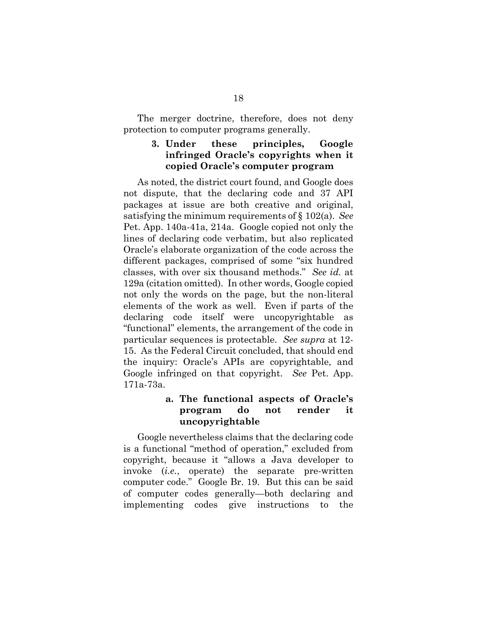The merger doctrine, therefore, does not deny protection to computer programs generally.

## **3. Under these principles, Google infringed Oracle's copyrights when it copied Oracle's computer program**

As noted, the district court found, and Google does not dispute, that the declaring code and 37 API packages at issue are both creative and original, satisfying the minimum requirements of § 102(a). *See*  Pet. App. 140a-41a, 214a. Google copied not only the lines of declaring code verbatim, but also replicated Oracle's elaborate organization of the code across the different packages, comprised of some "six hundred classes, with over six thousand methods." *See id.* at 129a (citation omitted). In other words, Google copied not only the words on the page, but the non-literal elements of the work as well. Even if parts of the declaring code itself were uncopyrightable as "functional" elements, the arrangement of the code in particular sequences is protectable. *See supra* at 12- 15. As the Federal Circuit concluded, that should end the inquiry: Oracle's APIs are copyrightable, and Google infringed on that copyright. *See* Pet. App. 171a-73a.

# **a. The functional aspects of Oracle's program do not render it uncopyrightable**

Google nevertheless claims that the declaring code is a functional "method of operation," excluded from copyright, because it "allows a Java developer to invoke (*i.e.*, operate) the separate pre-written computer code." Google Br. 19. But this can be said of computer codes generally—both declaring and implementing codes give instructions to the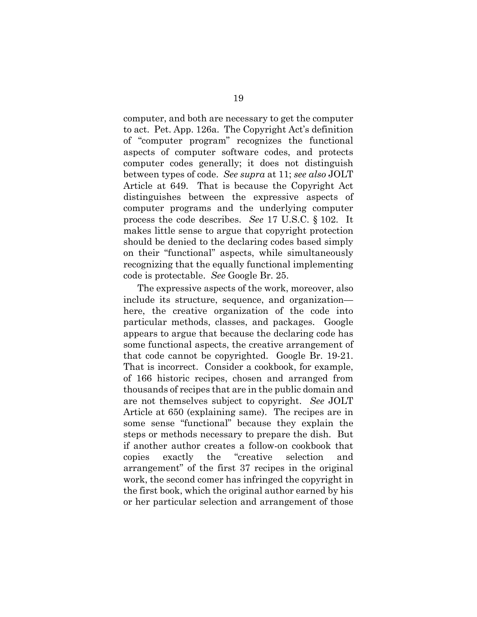computer, and both are necessary to get the computer to act. Pet. App. 126a. The Copyright Act's definition of "computer program" recognizes the functional aspects of computer software codes, and protects computer codes generally; it does not distinguish between types of code. *See supra* at 11; *see also* JOLT Article at 649. That is because the Copyright Act distinguishes between the expressive aspects of computer programs and the underlying computer process the code describes. *See* 17 U.S.C. § 102. It makes little sense to argue that copyright protection should be denied to the declaring codes based simply on their "functional" aspects, while simultaneously recognizing that the equally functional implementing code is protectable. *See* Google Br. 25.

The expressive aspects of the work, moreover, also include its structure, sequence, and organization here, the creative organization of the code into particular methods, classes, and packages. Google appears to argue that because the declaring code has some functional aspects, the creative arrangement of that code cannot be copyrighted. Google Br. 19-21. That is incorrect. Consider a cookbook, for example, of 166 historic recipes, chosen and arranged from thousands of recipes that are in the public domain and are not themselves subject to copyright. *See* JOLT Article at 650 (explaining same). The recipes are in some sense "functional" because they explain the steps or methods necessary to prepare the dish. But if another author creates a follow-on cookbook that copies exactly the "creative selection and arrangement" of the first 37 recipes in the original work, the second comer has infringed the copyright in the first book, which the original author earned by his or her particular selection and arrangement of those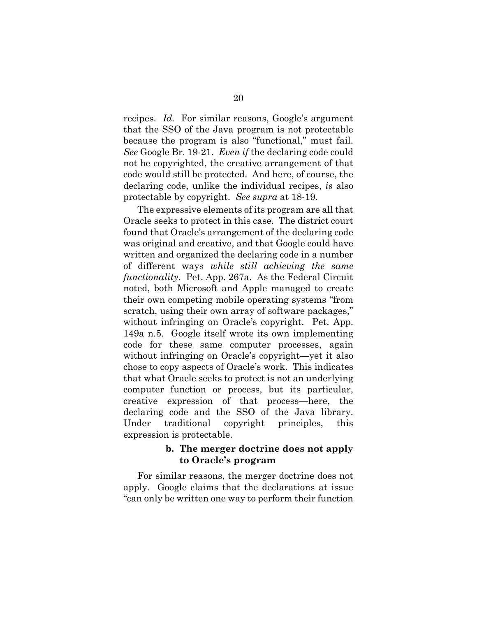recipes. *Id.* For similar reasons, Google's argument that the SSO of the Java program is not protectable because the program is also "functional," must fail. *See* Google Br. 19-21. *Even if* the declaring code could not be copyrighted, the creative arrangement of that code would still be protected. And here, of course, the declaring code, unlike the individual recipes, *is* also protectable by copyright. *See supra* at 18-19.

The expressive elements of its program are all that Oracle seeks to protect in this case. The district court found that Oracle's arrangement of the declaring code was original and creative, and that Google could have written and organized the declaring code in a number of different ways *while still achieving the same functionality*. Pet. App. 267a. As the Federal Circuit noted, both Microsoft and Apple managed to create their own competing mobile operating systems "from scratch, using their own array of software packages," without infringing on Oracle's copyright. Pet. App. 149a n.5. Google itself wrote its own implementing code for these same computer processes, again without infringing on Oracle's copyright—yet it also chose to copy aspects of Oracle's work. This indicates that what Oracle seeks to protect is not an underlying computer function or process, but its particular, creative expression of that process—here, the declaring code and the SSO of the Java library. Under traditional copyright principles, this expression is protectable.

#### **b. The merger doctrine does not apply to Oracle's program**

For similar reasons, the merger doctrine does not apply. Google claims that the declarations at issue "can only be written one way to perform their function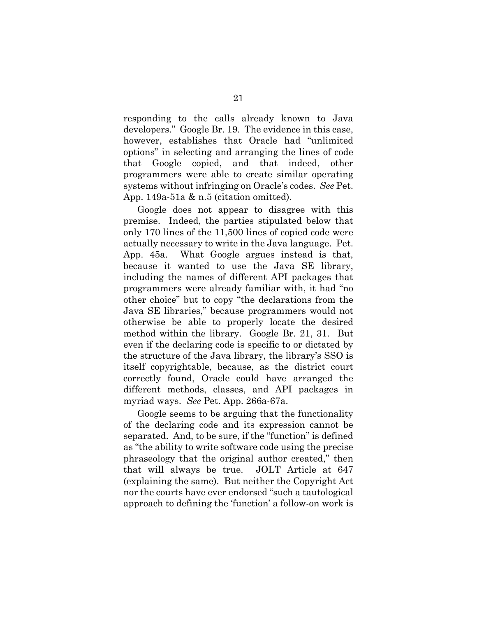responding to the calls already known to Java developers." Google Br. 19. The evidence in this case, however, establishes that Oracle had "unlimited options" in selecting and arranging the lines of code that Google copied, and that indeed, other programmers were able to create similar operating systems without infringing on Oracle's codes. *See* Pet. App. 149a-51a & n.5 (citation omitted).

Google does not appear to disagree with this premise. Indeed, the parties stipulated below that only 170 lines of the 11,500 lines of copied code were actually necessary to write in the Java language. Pet. App. 45a. What Google argues instead is that, because it wanted to use the Java SE library, including the names of different API packages that programmers were already familiar with, it had "no other choice" but to copy "the declarations from the Java SE libraries," because programmers would not otherwise be able to properly locate the desired method within the library. Google Br. 21, 31. But even if the declaring code is specific to or dictated by the structure of the Java library, the library's SSO is itself copyrightable, because, as the district court correctly found, Oracle could have arranged the different methods, classes, and API packages in myriad ways. *See* Pet. App. 266a-67a.

Google seems to be arguing that the functionality of the declaring code and its expression cannot be separated. And, to be sure, if the "function" is defined as "the ability to write software code using the precise phraseology that the original author created," then that will always be true. JOLT Article at 647 (explaining the same). But neither the Copyright Act nor the courts have ever endorsed "such a tautological approach to defining the 'function' a follow-on work is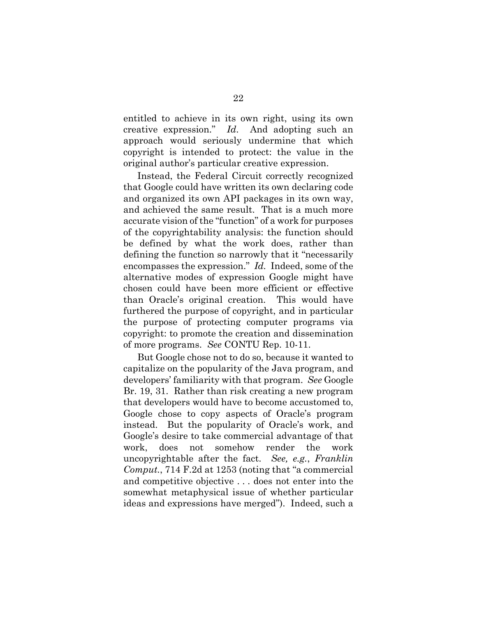entitled to achieve in its own right, using its own creative expression." *Id*. And adopting such an approach would seriously undermine that which copyright is intended to protect: the value in the original author's particular creative expression.

Instead, the Federal Circuit correctly recognized that Google could have written its own declaring code and organized its own API packages in its own way, and achieved the same result. That is a much more accurate vision of the "function" of a work for purposes of the copyrightability analysis: the function should be defined by what the work does, rather than defining the function so narrowly that it "necessarily encompasses the expression." *Id.* Indeed, some of the alternative modes of expression Google might have chosen could have been more efficient or effective than Oracle's original creation. This would have furthered the purpose of copyright, and in particular the purpose of protecting computer programs via copyright: to promote the creation and dissemination of more programs. *See* CONTU Rep. 10-11.

But Google chose not to do so, because it wanted to capitalize on the popularity of the Java program, and developers' familiarity with that program. *See* Google Br. 19, 31. Rather than risk creating a new program that developers would have to become accustomed to, Google chose to copy aspects of Oracle's program instead. But the popularity of Oracle's work, and Google's desire to take commercial advantage of that work, does not somehow render the work uncopyrightable after the fact. *See, e.g.*, *Franklin Comput.*, 714 F.2d at 1253 (noting that "a commercial and competitive objective . . . does not enter into the somewhat metaphysical issue of whether particular ideas and expressions have merged"). Indeed, such a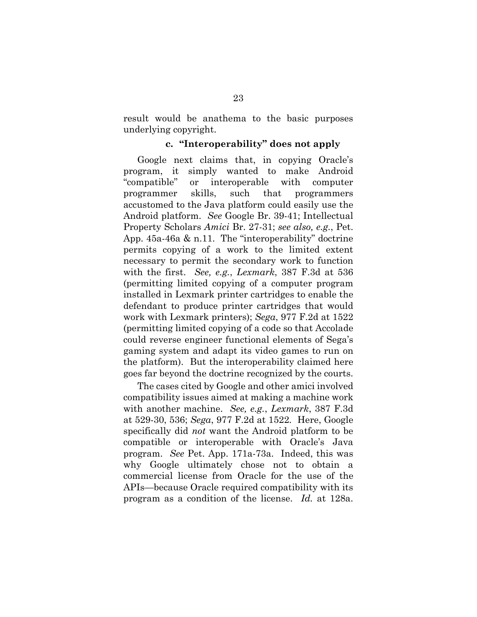result would be anathema to the basic purposes underlying copyright.

#### **c. "Interoperability" does not apply**

Google next claims that, in copying Oracle's program, it simply wanted to make Android "compatible" or interoperable with computer programmer skills, such that programmers accustomed to the Java platform could easily use the Android platform. *See* Google Br. 39-41; Intellectual Property Scholars *Amici* Br. 27-31; *see also, e.g.*, Pet. App. 45a-46a & n.11. The "interoperability" doctrine permits copying of a work to the limited extent necessary to permit the secondary work to function with the first. *See, e.g.*, *Lexmark*, 387 F.3d at 536 (permitting limited copying of a computer program installed in Lexmark printer cartridges to enable the defendant to produce printer cartridges that would work with Lexmark printers); *Sega*, 977 F.2d at 1522 (permitting limited copying of a code so that Accolade could reverse engineer functional elements of Sega's gaming system and adapt its video games to run on the platform). But the interoperability claimed here goes far beyond the doctrine recognized by the courts.

The cases cited by Google and other amici involved compatibility issues aimed at making a machine work with another machine. *See, e.g.*, *Lexmark*, 387 F.3d at 529-30, 536; *Sega*, 977 F.2d at 1522*.* Here, Google specifically did *not* want the Android platform to be compatible or interoperable with Oracle's Java program. *See* Pet. App. 171a-73a. Indeed, this was why Google ultimately chose not to obtain a commercial license from Oracle for the use of the APIs—because Oracle required compatibility with its program as a condition of the license. *Id.* at 128a.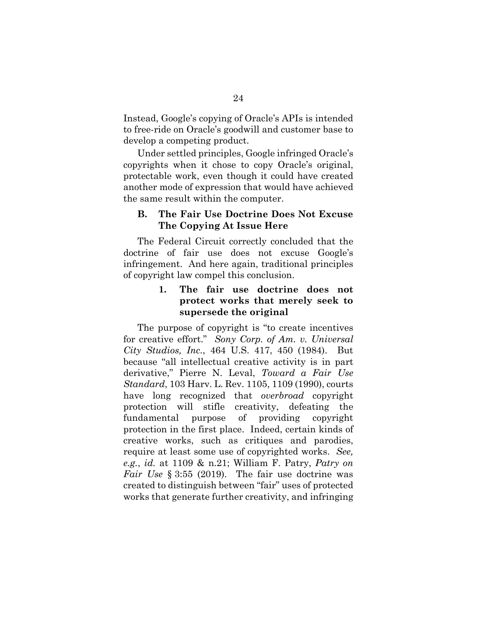Instead, Google's copying of Oracle's APIs is intended to free-ride on Oracle's goodwill and customer base to develop a competing product.

Under settled principles, Google infringed Oracle's copyrights when it chose to copy Oracle's original, protectable work, even though it could have created another mode of expression that would have achieved the same result within the computer.

## **B. The Fair Use Doctrine Does Not Excuse The Copying At Issue Here**

The Federal Circuit correctly concluded that the doctrine of fair use does not excuse Google's infringement. And here again, traditional principles of copyright law compel this conclusion.

# **1. The fair use doctrine does not protect works that merely seek to supersede the original**

The purpose of copyright is "to create incentives for creative effort." *Sony Corp. of Am. v. Universal City Studios, Inc.*, 464 U.S. 417, 450 (1984). But because "all intellectual creative activity is in part derivative," Pierre N. Leval, *Toward a Fair Use Standard*, 103 Harv. L. Rev. 1105, 1109 (1990), courts have long recognized that *overbroad* copyright protection will stifle creativity, defeating the fundamental purpose of providing copyright protection in the first place. Indeed, certain kinds of creative works, such as critiques and parodies, require at least some use of copyrighted works. *See, e.g.*, *id.* at 1109 & n.21; William F. Patry, *Patry on Fair Use* § 3:55 (2019). The fair use doctrine was created to distinguish between "fair" uses of protected works that generate further creativity, and infringing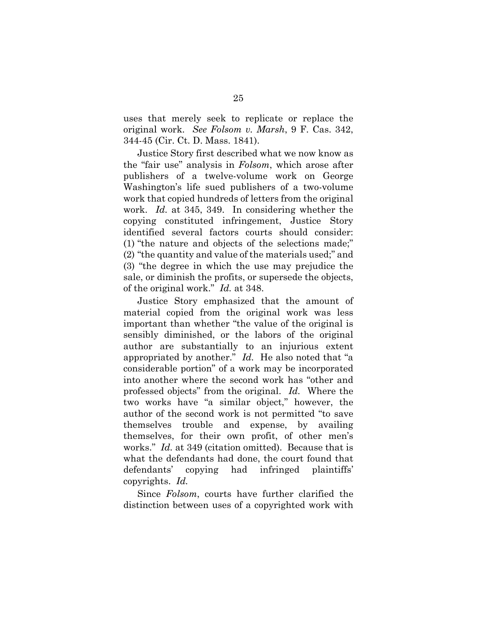uses that merely seek to replicate or replace the original work. *See Folsom v. Marsh*, 9 F. Cas. 342, 344-45 (Cir. Ct. D. Mass. 1841).

Justice Story first described what we now know as the "fair use" analysis in *Folsom*, which arose after publishers of a twelve-volume work on George Washington's life sued publishers of a two-volume work that copied hundreds of letters from the original work. *Id.* at 345, 349. In considering whether the copying constituted infringement, Justice Story identified several factors courts should consider: (1) "the nature and objects of the selections made;" (2) "the quantity and value of the materials used;" and (3) "the degree in which the use may prejudice the sale, or diminish the profits, or supersede the objects, of the original work." *Id.* at 348.

Justice Story emphasized that the amount of material copied from the original work was less important than whether "the value of the original is sensibly diminished, or the labors of the original author are substantially to an injurious extent appropriated by another." *Id.* He also noted that "a considerable portion" of a work may be incorporated into another where the second work has "other and professed objects" from the original. *Id.* Where the two works have "a similar object," however, the author of the second work is not permitted "to save themselves trouble and expense, by availing themselves, for their own profit, of other men's works." *Id.* at 349 (citation omitted). Because that is what the defendants had done, the court found that defendants' copying had infringed plaintiffs' copyrights. *Id.* 

Since *Folsom*, courts have further clarified the distinction between uses of a copyrighted work with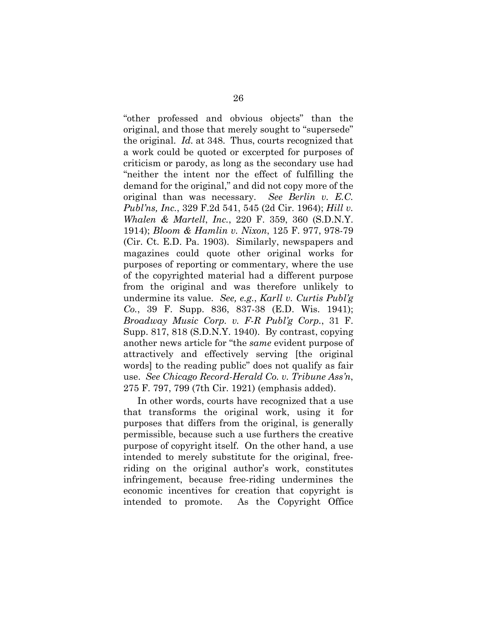"other professed and obvious objects" than the original, and those that merely sought to "supersede" the original. *Id.* at 348. Thus, courts recognized that a work could be quoted or excerpted for purposes of criticism or parody, as long as the secondary use had "neither the intent nor the effect of fulfilling the demand for the original," and did not copy more of the original than was necessary. *See Berlin v. E.C. Publ'ns, Inc.*, 329 F.2d 541, 545 (2d Cir. 1964); *Hill v. Whalen & Martell*, *Inc.*, 220 F. 359, 360 (S.D.N.Y. 1914); *Bloom & Hamlin v. Nixon*, 125 F. 977, 978-79 (Cir. Ct. E.D. Pa. 1903). Similarly, newspapers and magazines could quote other original works for purposes of reporting or commentary, where the use of the copyrighted material had a different purpose from the original and was therefore unlikely to undermine its value. *See, e.g.*, *Karll v. Curtis Publ'g Co.*, 39 F. Supp. 836, 837-38 (E.D. Wis. 1941); *Broadway Music Corp. v. F-R Publ'g Corp.*, 31 F. Supp. 817, 818 (S.D.N.Y. 1940). By contrast, copying another news article for "the *same* evident purpose of attractively and effectively serving [the original words] to the reading public" does not qualify as fair use. *See Chicago Record-Herald Co. v. Tribune Ass'n*, 275 F. 797, 799 (7th Cir. 1921) (emphasis added).

In other words, courts have recognized that a use that transforms the original work, using it for purposes that differs from the original, is generally permissible, because such a use furthers the creative purpose of copyright itself. On the other hand, a use intended to merely substitute for the original, freeriding on the original author's work, constitutes infringement, because free-riding undermines the economic incentives for creation that copyright is intended to promote. As the Copyright Office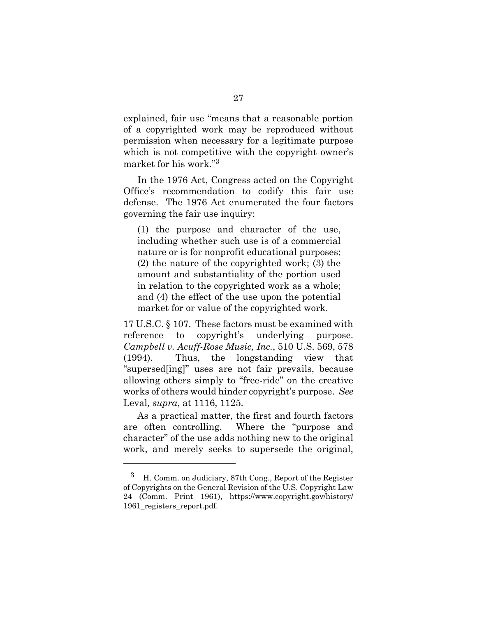explained, fair use "means that a reasonable portion of a copyrighted work may be reproduced without permission when necessary for a legitimate purpose which is not competitive with the copyright owner's market for his work."3

In the 1976 Act, Congress acted on the Copyright Office's recommendation to codify this fair use defense. The 1976 Act enumerated the four factors governing the fair use inquiry:

(1) the purpose and character of the use, including whether such use is of a commercial nature or is for nonprofit educational purposes; (2) the nature of the copyrighted work; (3) the amount and substantiality of the portion used in relation to the copyrighted work as a whole; and (4) the effect of the use upon the potential market for or value of the copyrighted work.

17 U.S.C. § 107. These factors must be examined with reference to copyright's underlying purpose. *Campbell v. Acuff-Rose Music, Inc.*, 510 U.S. 569, 578 (1994). Thus, the longstanding view that "supersed[ing]" uses are not fair prevails, because allowing others simply to "free-ride" on the creative works of others would hinder copyright's purpose. *See* Leval*, supra*, at 1116, 1125.

As a practical matter, the first and fourth factors are often controlling. Where the "purpose and character" of the use adds nothing new to the original work, and merely seeks to supersede the original,

l

<sup>3</sup> H. Comm. on Judiciary, 87th Cong., Report of the Register of Copyrights on the General Revision of the U.S. Copyright Law 24 (Comm. Print 1961), https://www.copyright.gov/history/ 1961\_registers\_report.pdf.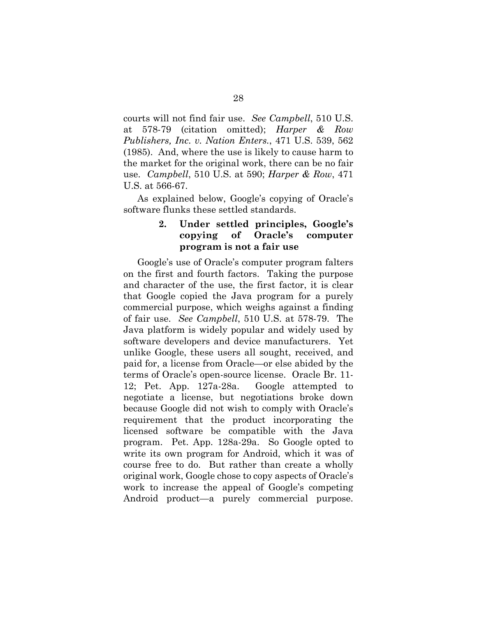courts will not find fair use. *See Campbell*, 510 U.S. at 578-79 (citation omitted); *Harper & Row Publishers, Inc. v. Nation Enters.*, 471 U.S. 539, 562 (1985). And, where the use is likely to cause harm to the market for the original work, there can be no fair use. *Campbell*, 510 U.S. at 590; *Harper & Row*, 471 U.S. at 566-67.

As explained below, Google's copying of Oracle's software flunks these settled standards.

### **2. Under settled principles, Google's copying of Oracle's computer program is not a fair use**

Google's use of Oracle's computer program falters on the first and fourth factors. Taking the purpose and character of the use, the first factor, it is clear that Google copied the Java program for a purely commercial purpose, which weighs against a finding of fair use. *See Campbell*, 510 U.S. at 578-79. The Java platform is widely popular and widely used by software developers and device manufacturers. Yet unlike Google, these users all sought, received, and paid for, a license from Oracle—or else abided by the terms of Oracle's open-source license. Oracle Br. 11- 12; Pet. App. 127a-28a. Google attempted to negotiate a license, but negotiations broke down because Google did not wish to comply with Oracle's requirement that the product incorporating the licensed software be compatible with the Java program. Pet. App. 128a-29a. So Google opted to write its own program for Android, which it was of course free to do. But rather than create a wholly original work, Google chose to copy aspects of Oracle's work to increase the appeal of Google's competing Android product—a purely commercial purpose.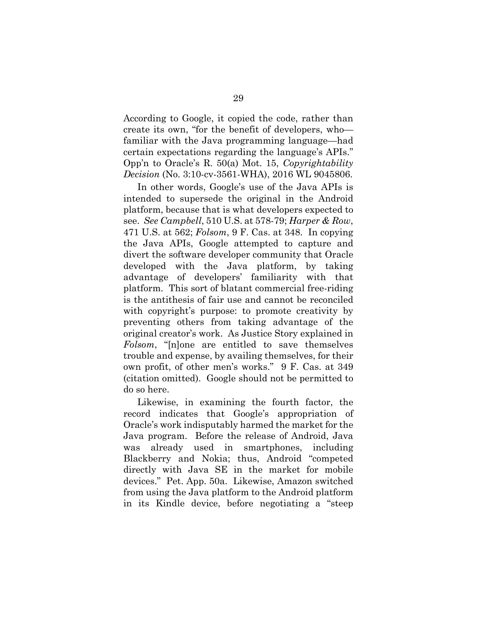According to Google, it copied the code, rather than create its own, "for the benefit of developers, who familiar with the Java programming language—had certain expectations regarding the language's APIs." Opp'n to Oracle's R. 50(a) Mot. 15, *Copyrightability Decision* (No. 3:10-cv-3561-WHA), 2016 WL 9045806.

In other words, Google's use of the Java APIs is intended to supersede the original in the Android platform, because that is what developers expected to see. *See Campbell*, 510 U.S. at 578-79; *Harper & Row*, 471 U.S. at 562; *Folsom*, 9 F. Cas. at 348. In copying the Java APIs, Google attempted to capture and divert the software developer community that Oracle developed with the Java platform, by taking advantage of developers' familiarity with that platform. This sort of blatant commercial free-riding is the antithesis of fair use and cannot be reconciled with copyright's purpose: to promote creativity by preventing others from taking advantage of the original creator's work. As Justice Story explained in *Folsom*, "[n]one are entitled to save themselves trouble and expense, by availing themselves, for their own profit, of other men's works." 9 F. Cas. at 349 (citation omitted). Google should not be permitted to do so here.

Likewise, in examining the fourth factor, the record indicates that Google's appropriation of Oracle's work indisputably harmed the market for the Java program. Before the release of Android, Java was already used in smartphones, including Blackberry and Nokia; thus, Android "competed directly with Java SE in the market for mobile devices." Pet. App. 50a. Likewise, Amazon switched from using the Java platform to the Android platform in its Kindle device, before negotiating a "steep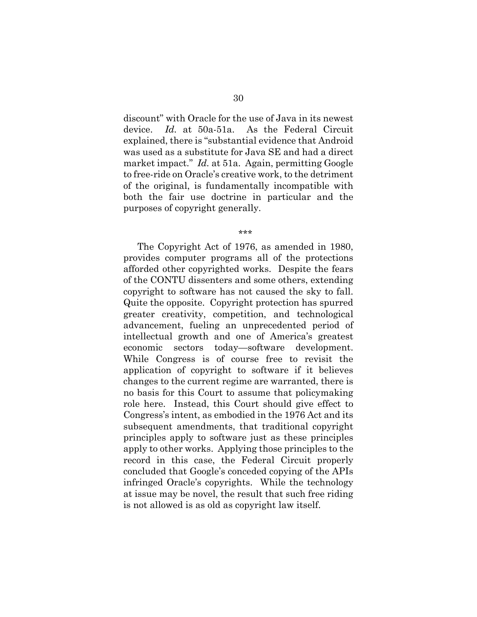discount" with Oracle for the use of Java in its newest device. *Id.* at 50a-51a. As the Federal Circuit explained, there is "substantial evidence that Android was used as a substitute for Java SE and had a direct market impact." *Id.* at 51a. Again, permitting Google to free-ride on Oracle's creative work, to the detriment of the original, is fundamentally incompatible with both the fair use doctrine in particular and the purposes of copyright generally.

\*\*\*

The Copyright Act of 1976, as amended in 1980, provides computer programs all of the protections afforded other copyrighted works. Despite the fears of the CONTU dissenters and some others, extending copyright to software has not caused the sky to fall. Quite the opposite. Copyright protection has spurred greater creativity, competition, and technological advancement, fueling an unprecedented period of intellectual growth and one of America's greatest economic sectors today—software development. While Congress is of course free to revisit the application of copyright to software if it believes changes to the current regime are warranted, there is no basis for this Court to assume that policymaking role here. Instead, this Court should give effect to Congress's intent, as embodied in the 1976 Act and its subsequent amendments, that traditional copyright principles apply to software just as these principles apply to other works. Applying those principles to the record in this case, the Federal Circuit properly concluded that Google's conceded copying of the APIs infringed Oracle's copyrights. While the technology at issue may be novel, the result that such free riding is not allowed is as old as copyright law itself.